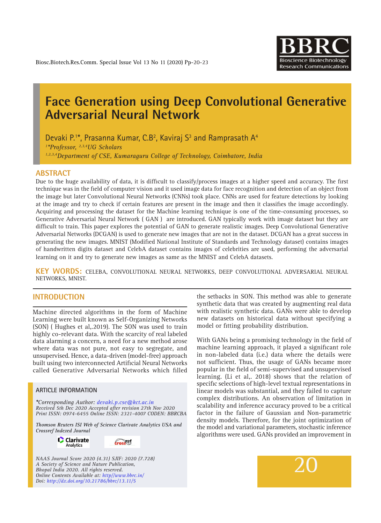

# **Face Generation using Deep Convolutional Generative Adversarial Neural Network**

Devaki P.<sup>1\*</sup>, Prasanna Kumar, C.B<sup>2</sup>, Kaviraj S<sup>3</sup> and Ramprasath A<sup>4</sup> *1 \*Professor, 2,3,4UG Scholars 1,2,3,4Department of CSE, Kumaraguru College of Technology, Coimbatore, India*

#### **ABSTRACT**

Due to the huge availability of data, it is difficult to classify/process images at a higher speed and accuracy. The first technique was in the field of computer vision and it used image data for face recognition and detection of an object from the image but later Convolutional Neural Networks (CNNs) took place. CNNs are used for feature detections by looking at the image and try to check if certain features are present in the image and then it classifies the image accordingly. Acquiring and processing the dataset for the Machine learning technique is one of the time-consuming processes, so Generative Adversarial Neural Network ( GAN ) are introduced. GAN typically work with image dataset but they are difficult to train. This paper explores the potential of GAN to generate realistic images. Deep Convolutional Generative Adversarial Networks (DCGAN) is used to generate new images that are not in the dataset. DCGAN has a great success in generating the new images. MNIST (Modified National Institute of Standards and Technology dataset) contains images of handwritten digits dataset and CelebA dataset contains images of celebrities are used, performing the adversarial learning on it and try to generate new images as same as the MNIST and CelebA datasets.

**KEY WORDS:** CelebA, CONVOLUTIONAL NEURAL NETWORKS, DEEP CONVOLUTIONAL ADVERSARIAL NEURAL NETWORKS, MNIST.

## **INTRODUCTION**

Machine directed algorithms in the form of Machine Learning were built known as Self-Organizing Networks (SON) ( Hughes et al,.2019). The SON was used to train highly co-relevant data. With the scarcity of real labeled data alarming a concern, a need for a new method arose where data was not pure, not easy to segregate, and unsupervised. Hence, a data-driven (model-free) approach built using two interconnected Artificial Neural Networks called Generative Adversarial Networks which filled

#### **ARTICLE INFORMATION**

*\*Corresponding Author: devaki.p.cse@kct.ac.in Received 5th Dec 2020 Accepted after revision 27th Nov 2020 Print ISSN: 0974-6455 Online ISSN: 2321-4007 CODEN: BBRCBA*

*Thomson Reuters ISI Web of Science Clarivate Analytics USA and Crossref Indexed Journal*

> **C** Clarivate Analytics

crosset

*NAAS Journal Score 2020 (4.31) SJIF: 2020 (7.728) A Society of Science and Nature Publication, Bhopal India 2020. All rights reserved. Online Contents Available at: http//www.bbrc.in/ Doi: http://dx.doi.org/10.21786/bbrc/13.11/5*

the setbacks in SON. This method was able to generate synthetic data that was created by augmenting real data with realistic synthetic data. GANs were able to develop new datasets on historical data without specifying a model or fitting probability distribution.

With GANs being a promising technology in the field of machine learning approach, it played a significant role in non-labeled data (i.e.) data where the details were not sufficient. Thus, the usage of GANs became more popular in the field of semi-supervised and unsupervised learning. (Li et al,. 2018) shows that the relation of specific selections of high-level textual representations in linear models was substantial, and they failed to capture complex distributions. An observation of limitation in scalability and inference accuracy proved to be a critical factor in the failure of Gaussian and Non-parametric density models. Therefore, for the joint optimization of the model and variational parameters, stochastic inference algorithms were used. GANs provided an improvement in

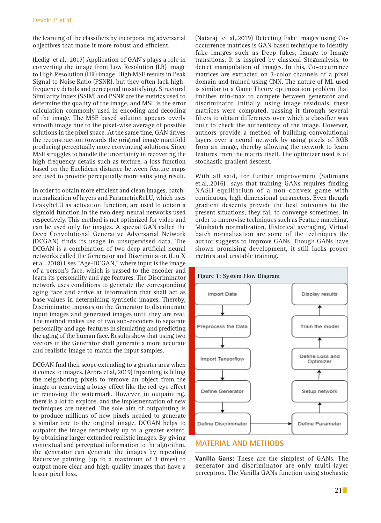the learning of the classifiers by incorporating adversarial objectives that made it more robust and efficient.

(Ledig et al,. 2017) Application of GAN's plays a role in converting the image from Low Resolution (LR) image to High Resolution (HR) image. High MSE results in Peak Signal to Noise Ratio (PSNR), but they often lack highfrequency details and perceptual unsatisfying. Structural Similarity Index (SSIM) and PSNR are the metrics used to determine the quality of the image, and MSE is the error calculation commonly used in encoding and decoding of the image. The MSE based solution appears overly smooth image due to the pixel-wise average of possible solutions in the pixel space. At the same time, GAN drives the reconstruction towards the original image manifold producing perceptually more convincing solutions. Since MSE struggles to handle the uncertainty in recovering the high-frequency details such as texture, a loss function based on the Euclidean distance between feature maps are used to provide perceptually more satisfying result.

In order to obtain more efficient and clean images, batchnormalization of layers and ParametricReLU, which uses LeakyReLU as activation function, are used to obtain a sigmoid function in the two deep neural networks used respectively. This method is not optimized for video and can be used only for images. A special GAN called the Deep Convolutional Generative Adversarial Network (DCGAN) finds its usage in unsupervised data. The DCGAN is a combination of two deep artificial neural networks called the Generator and Discriminator. (Liu X et al,.2018) Uses "Age-DCGAN," where input is the image of a person's face, which is passed to the encoder and learn its personality and age features. The Discriminator network uses conditions to generate the corresponding aging face and arrive at information that shall act as base values in determining synthetic images. Thereby, Discriminator imposes on the Generator to discriminate input images and generated images until they are real. The method makes use of two sub-encoders to separate personality and age-features in simulating and predicting the aging of the human face. Results show that using two vectors in the Generator shall generate a more accurate and realistic image to match the input samples.

DCGAN find their scope extending to a greater area when it comes to images. (Arora et al,.2019) Inpainting is filling the neighboring pixels to remove an object from the image or removing a lousy effect like the red-eye effect or removing the watermark. However, in outpainting, there is a lot to explore, and the implementation of new techniques are needed. The sole aim of outpainting is to produce millions of new pixels needed to generate a similar one to the original image. DCGAN helps to outpaint the image recursively up to a greater extent, by obtaining larger extended realistic images. By giving contextual and perceptual information to the algorithm, the generator can generate the images by repeating Recursive painting (up to a maximum of 3 times) to output more clear and high-quality images that have a lesser pixel loss.

(Nataraj et al,.2019) Detecting Fake images using Cooccurrence matrices is GAN based technique to identify fake images such as Deep fakes, Image-to-Image transitions. It is inspired by classical Steganalysis, to detect manipulation of images. In this, Co-occurrence matrices are extracted on 3-color channels of a pixel domain and trained using CNN. The nature of ML used is similar to a Game Theory optimization problem that imbibes min-max to compete between generator and discriminator. Initially, using image residuals, these matrices were computed, passing it through several filters to obtain differences over which a classifier was built to check the authenticity of the image. However, authors provide a method of building convolutional layers over a neural network by using pixels of RGB from an image, thereby allowing the network to learn features from the matrix itself. The optimizer used is of stochastic gradient descent.

With all said, for further improvement (Salimans et.al,.2016) says that training GANs requires finding NASH equilibrium of a non-convex game with continuous, high dimensional parameters. Even though gradient descents provide the best outcomes to the present situations, they fail to converge sometimes. In order to improvise techniques such as Feature matching, Minibatch normalization, Historical averaging, Virtual batch normalization are some of the techniques the author suggests to improve GANs. Though GANs have shown promising development, it still lacks proper metrics and unstable training.



# **MATERIAL AND METHODS**

**Vanilla Gans:** These are the simplest of GANs. The generator and discriminator are only multi-layer perceptron. The Vanilla GANs function using stochastic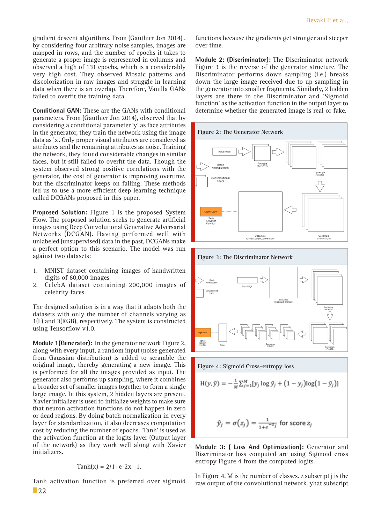gradient descent algorithms. From (Gauthier Jon 2014) , by considering four arbitrary noise samples, images are mapped in rows, and the number of epochs it takes to generate a proper image is represented in columns and observed a high of 131 epochs, which is a considerably very high cost. They observed Mosaic patterns and discolorization in raw images and struggle in learning data when there is an overlap. Therefore, Vanilla GANs failed to overfit the training data.

**Conditional GAN:** These are the GANs with conditional parameters. From (Gauthier Jon 2014), observed that by considering a conditional parameter 'y' as face attributes in the generator, they train the network using the image data as 'x'. Only proper visual attributes are considered as attributes and the remaining attributes as noise. Training the network, they found considerable changes in similar faces, but it still failed to overfit the data. Though the system observed strong positive correlations with the generator, the cost of generator is improving overtime, but the discriminator keeps on failing. These methods led us to use a more efficient deep learning technique called DCGANs proposed in this paper.

**Proposed Solution:** Figure 1 is the proposed System Flow. The proposed solution seeks to generate artificial images using Deep Convolutional Generative Adversarial Networks (DCGAN). Having performed well with unlabeled (unsupervised) data in the past, DCGANs make a perfect option to this scenario. The model was run against two datasets:

- 1. MNIST dataset containing images of handwritten digits of 60,000 images
- 2. CelebA dataset containing 200,000 images of celebrity faces.

The designed solution is in a way that it adapts both the datasets with only the number of channels varying as 1(L) and 3(RGB), respectively. The system is constructed using Tensorflow v1.0.

**Module 1(Generator):** In the generator network Figure 2, along with every input, a random input (noise generated from Gaussian distribution) is added to scramble the original image, thereby generating a new image. This is performed for all the images provided as input. The generator also performs up sampling, where it combines a broader set of smaller images together to form a single large image. In this system, 2 hidden layers are present. Xavier initializer is used to initialize weights to make sure that neuron activation functions do not happen in zero or dead regions. By doing batch normalization in every layer for standardization, it also decreases computation cost by reducing the number of epochs. 'Tanh' is used as the activation function at the logits layer (Output layer of the network) as they work well along with Xavier initializers.

$$
Tanh(x) = 2/1 + e^{-2x} - 1.
$$

 $\Box$  22 Tanh activation function is preferred over sigmoid

functions because the gradients get stronger and steeper over time.

**Module 2: (Discriminator):** The Discriminator network Figure 3 is the reverse of the generator structure. The Discriminator performs down sampling (i.e.) breaks down the large image received due to up sampling in the generator into smaller fragments. Similarly, 2 hidden layers are there in the Discriminator and 'Sigmoid function' as the activation function in the output layer to determine whether the generated image is real or fake.





**Figure 4: Sigmoid Cross-entropy loss**

$$
H(y, \hat{y}) = -\frac{1}{N} \sum_{i=1}^{M} [y_i \log \hat{y}_i + (1 - y_i) \log(1 - \hat{y}_i)]
$$

$$
\hat{y}_j = \sigma(z_j) = \frac{1}{1 + e^{-z_j}}
$$
 for score  $z_j$ 

**Module 3: ( Loss And Optimization):** Generator and Discriminator loss computed are using Sigmoid cross entropy Figure 4 from the computed logits.

In Figure 4, M is the number of classes. z subscript j is the raw output of the convolutional network. yhat subscript